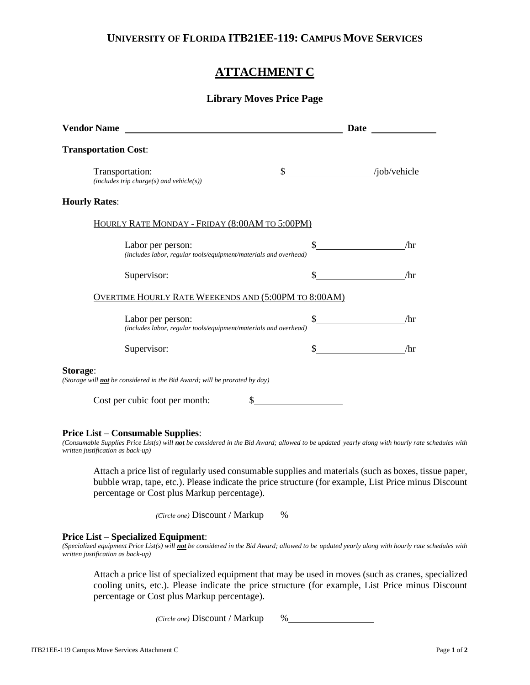## **UNIVERSITY OF FLORIDA ITB21EE-119: CAMPUS MOVE SERVICES**

# **ATTACHMENT C**

### **Library Moves Price Page**

| <b>Vendor Name</b>                                                                            | Date          |              |  |  |
|-----------------------------------------------------------------------------------------------|---------------|--------------|--|--|
| <b>Transportation Cost:</b>                                                                   |               |              |  |  |
| Transportation:<br>$(includes trip charge(s) and vehicle(s))$                                 | $\frac{1}{2}$ | /job/vehicle |  |  |
| <b>Hourly Rates:</b>                                                                          |               |              |  |  |
| HOURLY RATE MONDAY - FRIDAY (8:00AM TO 5:00PM)                                                |               |              |  |  |
| Labor per person:<br>(includes labor, regular tools/equipment/materials and overhead)         | \$            | /hr          |  |  |
| Supervisor:                                                                                   | \$            | /hr          |  |  |
| <b>OVERTIME HOURLY RATE WEEKENDS AND (5:00PM TO 8:00AM)</b>                                   |               |              |  |  |
| Labor per person:<br>(includes labor, regular tools/equipment/materials and overhead)         | $\frac{1}{2}$ | /hr          |  |  |
| Supervisor:                                                                                   | \$            | /hr          |  |  |
| Storage:<br>(Storage will <b>not</b> be considered in the Bid Award; will be prorated by day) |               |              |  |  |
| Cost per cubic foot per month:                                                                |               |              |  |  |

#### **Price List – Consumable Supplies**:

*(Consumable Supplies Price List(s) will not be considered in the Bid Award; allowed to be updated yearly along with hourly rate schedules with written justification as back-up)*

Attach a price list of regularly used consumable supplies and materials (such as boxes, tissue paper, bubble wrap, tape, etc.). Please indicate the price structure (for example, List Price minus Discount percentage or Cost plus Markup percentage).

*(Circle one)* Discount / Markup %

#### **Price List – Specialized Equipment**:

*(Specialized equipment Price List(s) will not be considered in the Bid Award; allowed to be updated yearly along with hourly rate schedules with written justification as back-up)*

Attach a price list of specialized equipment that may be used in moves (such as cranes, specialized cooling units, etc.). Please indicate the price structure (for example, List Price minus Discount percentage or Cost plus Markup percentage).

*(Circle one)* Discount / Markup %